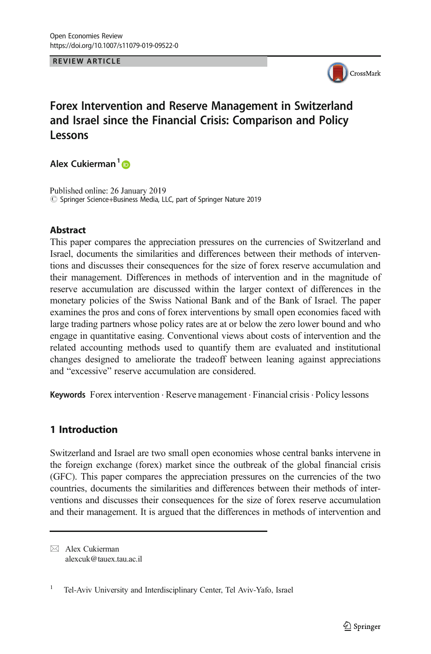REVIEW ARTICLE



# Forex Intervention and Reserve Management in Switzerland and Israel since the Financial Crisis: Comparison and Policy Lessons

Alex Cukierman<sup>1</sup><sup>®</sup>

Published online: 26 January 2019 © Springer Science+Business Media, LLC, part of Springer Nature 2019

### **Abstract**

This paper compares the appreciation pressures on the currencies of Switzerland and Israel, documents the similarities and differences between their methods of interventions and discusses their consequences for the size of forex reserve accumulation and their management. Differences in methods of intervention and in the magnitude of reserve accumulation are discussed within the larger context of differences in the monetary policies of the Swiss National Bank and of the Bank of Israel. The paper examines the pros and cons of forex interventions by small open economies faced with large trading partners whose policy rates are at or below the zero lower bound and who engage in quantitative easing. Conventional views about costs of intervention and the related accounting methods used to quantify them are evaluated and institutional changes designed to ameliorate the tradeoff between leaning against appreciations and "excessive" reserve accumulation are considered.

Keywords Forex intervention · Reserve management · Financial crisis · Policy lessons

### 1 Introduction

Switzerland and Israel are two small open economies whose central banks intervene in the foreign exchange (forex) market since the outbreak of the global financial crisis (GFC). This paper compares the appreciation pressures on the currencies of the two countries, documents the similarities and differences between their methods of interventions and discusses their consequences for the size of forex reserve accumulation and their management. It is argued that the differences in methods of intervention and

 $\boxtimes$  Alex Cukierman [alexcuk@tauex.tau.ac.il](mailto:alexcuk@tauex.tau.ac.il)

<sup>&</sup>lt;sup>1</sup> Tel-Aviv University and Interdisciplinary Center, Tel Aviv-Yafo, Israel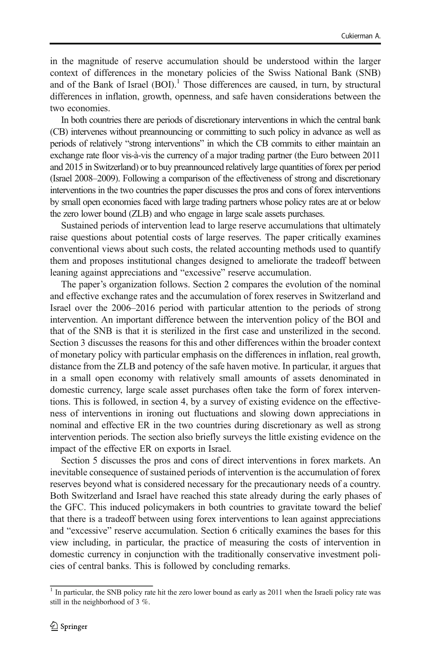in the magnitude of reserve accumulation should be understood within the larger context of differences in the monetary policies of the Swiss National Bank (SNB) and of the Bank of Israel  $(BOI)^1$ . Those differences are caused, in turn, by structural differences in inflation, growth, openness, and safe haven considerations between the two economies.

In both countries there are periods of discretionary interventions in which the central bank (CB) intervenes without preannouncing or committing to such policy in advance as well as periods of relatively "strong interventions" in which the CB commits to either maintain an exchange rate floor vis-à-vis the currency of a major trading partner (the Euro between 2011 and 2015 in Switzerland) or to buy preannounced relatively large quantities of forex per period (Israel 2008–2009). Following a comparison of the effectiveness of strong and discretionary interventions in the two countries the paper discusses the pros and cons of forex interventions by small open economies faced with large trading partners whose policy rates are at or below the zero lower bound (ZLB) and who engage in large scale assets purchases.

Sustained periods of intervention lead to large reserve accumulations that ultimately raise questions about potential costs of large reserves. The paper critically examines conventional views about such costs, the related accounting methods used to quantify them and proposes institutional changes designed to ameliorate the tradeoff between leaning against appreciations and "excessive" reserve accumulation.

The paper's organization follows. Section 2 compares the evolution of the nominal and effective exchange rates and the accumulation of forex reserves in Switzerland and Israel over the 2006–2016 period with particular attention to the periods of strong intervention. An important difference between the intervention policy of the BOI and that of the SNB is that it is sterilized in the first case and unsterilized in the second. Section 3 discusses the reasons for this and other differences within the broader context of monetary policy with particular emphasis on the differences in inflation, real growth, distance from the ZLB and potency of the safe haven motive. In particular, it argues that in a small open economy with relatively small amounts of assets denominated in domestic currency, large scale asset purchases often take the form of forex interventions. This is followed, in section 4, by a survey of existing evidence on the effectiveness of interventions in ironing out fluctuations and slowing down appreciations in nominal and effective ER in the two countries during discretionary as well as strong intervention periods. The section also briefly surveys the little existing evidence on the impact of the effective ER on exports in Israel.

Section 5 discusses the pros and cons of direct interventions in forex markets. An inevitable consequence of sustained periods of intervention is the accumulation of forex reserves beyond what is considered necessary for the precautionary needs of a country. Both Switzerland and Israel have reached this state already during the early phases of the GFC. This induced policymakers in both countries to gravitate toward the belief that there is a tradeoff between using forex interventions to lean against appreciations and "excessive" reserve accumulation. Section 6 critically examines the bases for this view including, in particular, the practice of measuring the costs of intervention in domestic currency in conjunction with the traditionally conservative investment policies of central banks. This is followed by concluding remarks.

<sup>&</sup>lt;sup>1</sup> In particular, the SNB policy rate hit the zero lower bound as early as 2011 when the Israeli policy rate was still in the neighborhood of 3 %.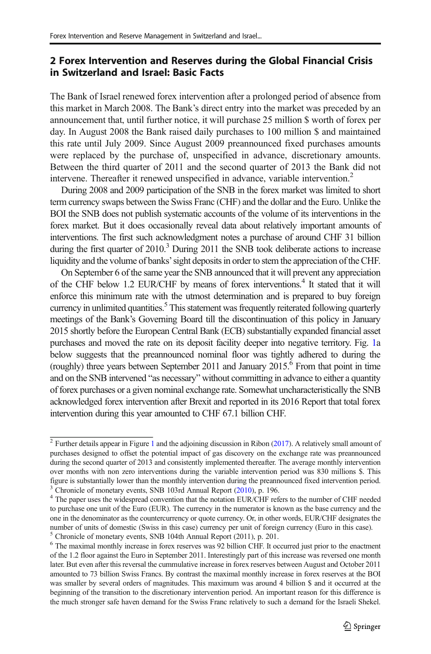### 2 Forex Intervention and Reserves during the Global Financial Crisis in Switzerland and Israel: Basic Facts

The Bank of Israel renewed forex intervention after a prolonged period of absence from this market in March 2008. The Bank's direct entry into the market was preceded by an announcement that, until further notice, it will purchase 25 million \$ worth of forex per day. In August 2008 the Bank raised daily purchases to 100 million \$ and maintained this rate until July 2009. Since August 2009 preannounced fixed purchases amounts were replaced by the purchase of, unspecified in advance, discretionary amounts. Between the third quarter of 2011 and the second quarter of 2013 the Bank did not intervene. Thereafter it renewed unspecified in advance, variable intervention.<sup>2</sup>

During 2008 and 2009 participation of the SNB in the forex market was limited to short term currency swaps between the Swiss Franc (CHF) and the dollar and the Euro. Unlike the BOI the SNB does not publish systematic accounts of the volume of its interventions in the forex market. But it does occasionally reveal data about relatively important amounts of interventions. The first such acknowledgment notes a purchase of around CHF 31 billion during the first quarter of 2010.<sup>3</sup> During 2011 the SNB took deliberate actions to increase liquidity and the volume of banks'sight deposits in order to stem the appreciation of the CHF.

On September 6 of the same year the SNB announced that it will prevent any appreciation of the CHF below 1.2 EUR/CHF by means of forex interventions.<sup>4</sup> It stated that it will enforce this minimum rate with the utmost determination and is prepared to buy foreign currency in unlimited quantities.<sup>5</sup> This statement was frequently reiterated following quarterly meetings of the Bank's Governing Board till the discontinuation of this policy in January 2015 shortly before the European Central Bank (ECB) substantially expanded financial asset purchases and moved the rate on its deposit facility deeper into negative territory. Fig. [1a](#page-3-0) below suggests that the preannounced nominal floor was tightly adhered to during the (roughly) three years between September 2011 and January 2015.6 From that point in time and on the SNB intervened "as necessary" without committing in advance to either a quantity of forex purchases or a given nominal exchange rate. Somewhat uncharacteristically the SNB acknowledged forex intervention after Brexit and reported in its 2016 Report that total forex intervention during this year amounted to CHF 67.1 billion CHF.

 $2$  Further details appear in Figure [1](#page-3-0) and the adjoining discussion in Ribon [\(2017\)](#page-21-0). A relatively small amount of purchases designed to offset the potential impact of gas discovery on the exchange rate was preannounced during the second quarter of 2013 and consistently implemented thereafter. The average monthly intervention over months with non zero interventions during the variable intervention period was 830 millions \$. This figure is substantially lower than the monthly intervention during the preannounced fixed intervention period.  $3$  Chronicle of monetary events, SNB 103rd Annual Report (2010), p. 196.

<sup>&</sup>lt;sup>4</sup> The paper uses the widespread convention that the notation EUR/CHF refers to the number of CHF needed to purchase one unit of the Euro (EUR). The currency in the numerator is known as the base currency and the one in the denominator as the countercurrency or quote currency. Or, in other words, EUR/CHF designates the number of units of domestic (Swiss in this case) currency per unit of foreign currency (Euro in this case). <sup>5</sup> Chronicle of monetary events, SNB 104th Annual Report (2011), p. 201.

<sup>&</sup>lt;sup>6</sup> The maximal monthly increase in forex reserves was 92 billion CHF. It occurred just prior to the enactment of the 1.2 floor against the Euro in September 2011. Interestingly part of this increase was reversed one month later. But even after this reversal the cummulative increase in forex reserves between August and October 2011 amounted to 73 billion Swiss Francs. By contrast the maximal monthly increase in forex reserves at the BOI was smaller by several orders of magnitudes. This maximum was around 4 billion \$ and it occurred at the beginning of the transition to the discretionary intervention period. An important reason for this difference is the much stronger safe haven demand for the Swiss Franc relatively to such a demand for the Israeli Shekel.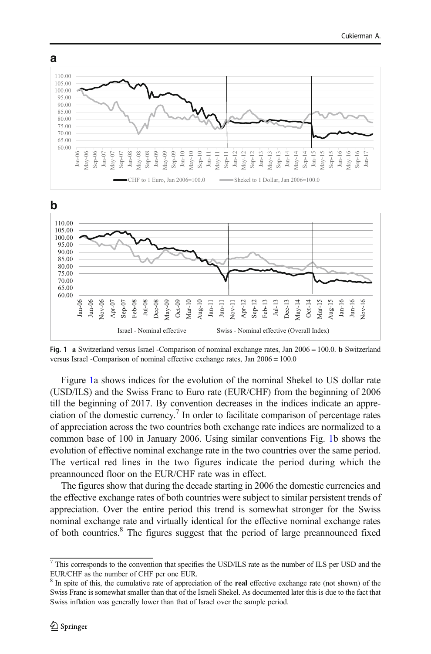<span id="page-3-0"></span>

Fig. 1 a Switzerland versus Israel -Comparison of nominal exchange rates, Jan 2006 = 100.0. b Switzerland versus Israel -Comparison of nominal effective exchange rates, Jan 2006 = 100.0

Figure 1a shows indices for the evolution of the nominal Shekel to US dollar rate (USD/ILS) and the Swiss Franc to Euro rate (EUR/CHF) from the beginning of 2006 till the beginning of 2017. By convention decreases in the indices indicate an appreciation of the domestic currency.<sup>7</sup> In order to facilitate comparison of percentage rates of appreciation across the two countries both exchange rate indices are normalized to a common base of 100 in January 2006. Using similar conventions Fig. 1b shows the evolution of effective nominal exchange rate in the two countries over the same period. The vertical red lines in the two figures indicate the period during which the preannounced floor on the EUR/CHF rate was in effect.

The figures show that during the decade starting in 2006 the domestic currencies and the effective exchange rates of both countries were subject to similar persistent trends of appreciation. Over the entire period this trend is somewhat stronger for the Swiss nominal exchange rate and virtually identical for the effective nominal exchange rates of both countries.<sup>8</sup> The figures suggest that the period of large preannounced fixed

 $\frac{1}{7}$  This corresponds to the convention that specifies the USD/ILS rate as the number of ILS per USD and the EUR/CHF as the number of CHF per one EUR.

In spite of this, the cumulative rate of appreciation of the **real** effective exchange rate (not shown) of the Swiss Franc is somewhat smaller than that of the Israeli Shekel. As documented later this is due to the fact that Swiss inflation was generally lower than that of Israel over the sample period.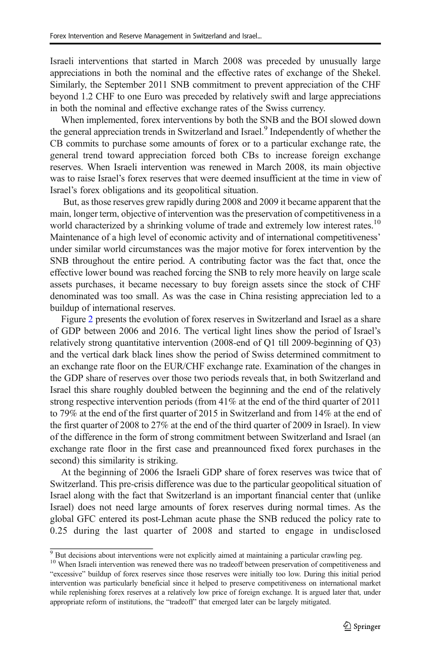Israeli interventions that started in March 2008 was preceded by unusually large appreciations in both the nominal and the effective rates of exchange of the Shekel. Similarly, the September 2011 SNB commitment to prevent appreciation of the CHF beyond 1.2 CHF to one Euro was preceded by relatively swift and large appreciations in both the nominal and effective exchange rates of the Swiss currency.

When implemented, forex interventions by both the SNB and the BOI slowed down the general appreciation trends in Switzerland and Israel.<sup>9</sup> Independently of whether the CB commits to purchase some amounts of forex or to a particular exchange rate, the general trend toward appreciation forced both CBs to increase foreign exchange reserves. When Israeli intervention was renewed in March 2008, its main objective was to raise Israel's forex reserves that were deemed insufficient at the time in view of Israel's forex obligations and its geopolitical situation.

But, as those reserves grew rapidly during 2008 and 2009 it became apparent that the main, longer term, objective of intervention was the preservation of competitiveness in a world characterized by a shrinking volume of trade and extremely low interest rates.<sup>10</sup> Maintenance of a high level of economic activity and of international competitiveness' under similar world circumstances was the major motive for forex intervention by the SNB throughout the entire period. A contributing factor was the fact that, once the effective lower bound was reached forcing the SNB to rely more heavily on large scale assets purchases, it became necessary to buy foreign assets since the stock of CHF denominated was too small. As was the case in China resisting appreciation led to a buildup of international reserves.

Figure [2](#page-5-0) presents the evolution of forex reserves in Switzerland and Israel as a share of GDP between 2006 and 2016. The vertical light lines show the period of Israel's relatively strong quantitative intervention (2008-end of Q1 till 2009-beginning of Q3) and the vertical dark black lines show the period of Swiss determined commitment to an exchange rate floor on the EUR/CHF exchange rate. Examination of the changes in the GDP share of reserves over those two periods reveals that, in both Switzerland and Israel this share roughly doubled between the beginning and the end of the relatively strong respective intervention periods (from 41% at the end of the third quarter of 2011 to 79% at the end of the first quarter of 2015 in Switzerland and from 14% at the end of the first quarter of 2008 to 27% at the end of the third quarter of 2009 in Israel). In view of the difference in the form of strong commitment between Switzerland and Israel (an exchange rate floor in the first case and preannounced fixed forex purchases in the second) this similarity is striking.

At the beginning of 2006 the Israeli GDP share of forex reserves was twice that of Switzerland. This pre-crisis difference was due to the particular geopolitical situation of Israel along with the fact that Switzerland is an important financial center that (unlike Israel) does not need large amounts of forex reserves during normal times. As the global GFC entered its post-Lehman acute phase the SNB reduced the policy rate to 0.25 during the last quarter of 2008 and started to engage in undisclosed

<sup>&</sup>lt;sup>9</sup> But decisions about interventions were not explicitly aimed at maintaining a particular crawling peg.

<sup>&</sup>lt;sup>10</sup> When Israeli intervention was renewed there was no tradeoff between preservation of competitiveness and "excessive" buildup of forex reserves since those reserves were initially too low. During this initial period intervention was particularly beneficial since it helped to preserve competitiveness on international market while replenishing forex reserves at a relatively low price of foreign exchange. It is argued later that, under appropriate reform of institutions, the "tradeoff" that emerged later can be largely mitigated.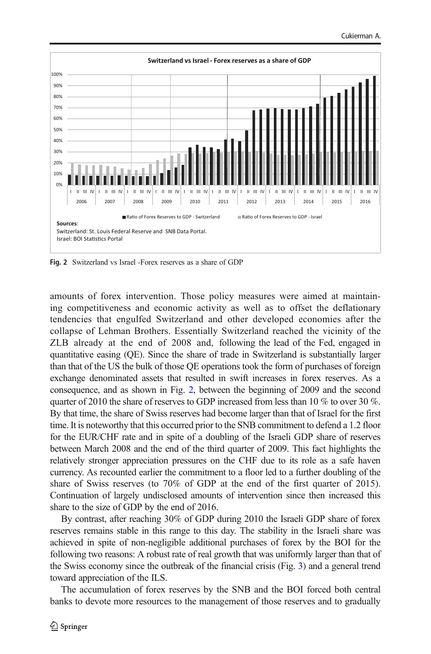<span id="page-5-0"></span>

Fig. 2 Switzerland vs Israel -Forex reserves as a share of GDP

amounts of forex intervention. Those policy measures were aimed at maintaining competitiveness and economic activity as well as to offset the deflationary tendencies that engulfed Switzerland and other developed economies after the collapse of Lehman Brothers. Essentially Switzerland reached the vicinity of the ZLB already at the end of 2008 and, following the lead of the Fed, engaged in quantitative easing (QE). Since the share of trade in Switzerland is substantially larger than that of the US the bulk of those QE operations took the form of purchases of foreign exchange denominated assets that resulted in swift increases in forex reserves. As a consequence, and as shown in Fig. 2, between the beginning of 2009 and the second quarter of 2010 the share of reserves to GDP increased from less than 10 % to over 30 %. By that time, the share of Swiss reserves had become larger than that of Israel for the first time. It is noteworthy that this occurred prior to the SNB commitment to defend a 1.2 floor for the EUR/CHF rate and in spite of a doubling of the Israeli GDP share of reserves between March 2008 and the end of the third quarter of 2009. This fact highlights the relatively stronger appreciation pressures on the CHF due to its role as a safe haven currency. As recounted earlier the commitment to a floor led to a further doubling of the share of Swiss reserves (to 70% of GDP at the end of the first quarter of 2015). Continuation of largely undisclosed amounts of intervention since then increased this share to the size of GDP by the end of 2016.

By contrast, after reaching 30% of GDP during 2010 the Israeli GDP share of forex reserves remains stable in this range to this day. The stability in the Israeli share was achieved in spite of non-negligible additional purchases of forex by the BOI for the following two reasons: A robust rate of real growth that was uniformly larger than that of the Swiss economy since the outbreak of the financial crisis (Fig. [3\)](#page-6-0) and a general trend toward appreciation of the ILS.

The accumulation of forex reserves by the SNB and the BOI forced both central banks to devote more resources to the management of those reserves and to gradually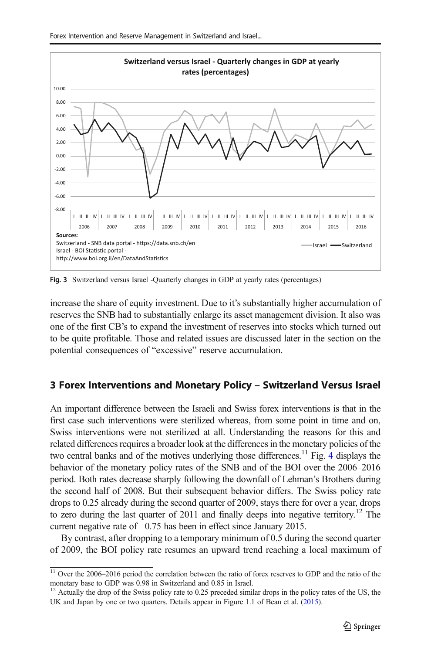<span id="page-6-0"></span>



Fig. 3 Switzerland versus Israel -Quarterly changes in GDP at yearly rates (percentages)

increase the share of equity investment. Due to it's substantially higher accumulation of reserves the SNB had to substantially enlarge its asset management division. It also was one of the first CB's to expand the investment of reserves into stocks which turned out to be quite profitable. Those and related issues are discussed later in the section on the potential consequences of "excessive" reserve accumulation.

#### 3 Forex Interventions and Monetary Policy – Switzerland Versus Israel

An important difference between the Israeli and Swiss forex interventions is that in the first case such interventions were sterilized whereas, from some point in time and on, Swiss interventions were not sterilized at all. Understanding the reasons for this and related differences requires a broader look at the differences in the monetary policies of the two central banks and of the motives underlying those differences.<sup>11</sup> Fig. [4](#page-7-0) displays the behavior of the monetary policy rates of the SNB and of the BOI over the 2006–2016 period. Both rates decrease sharply following the downfall of Lehman's Brothers during the second half of 2008. But their subsequent behavior differs. The Swiss policy rate drops to 0.25 already during the second quarter of 2009, stays there for over a year, drops to zero during the last quarter of 2011 and finally deeps into negative territory.<sup>12</sup> The current negative rate of −0.75 has been in effect since January 2015.

By contrast, after dropping to a temporary minimum of 0.5 during the second quarter of 2009, the BOI policy rate resumes an upward trend reaching a local maximum of

<sup>&</sup>lt;sup>11</sup> Over the 2006–2016 period the correlation between the ratio of forex reserves to GDP and the ratio of the monetary base to GDP was 0.98 in Switzerland and 0.85 in Israel.

<sup>&</sup>lt;sup>12</sup> Actually the drop of the Swiss policy rate to 0.25 preceded similar drops in the policy rates of the US, the UK and Japan by one or two quarters. Details appear in Figure 1.1 of Bean et al. [\(2015\)](#page-21-0).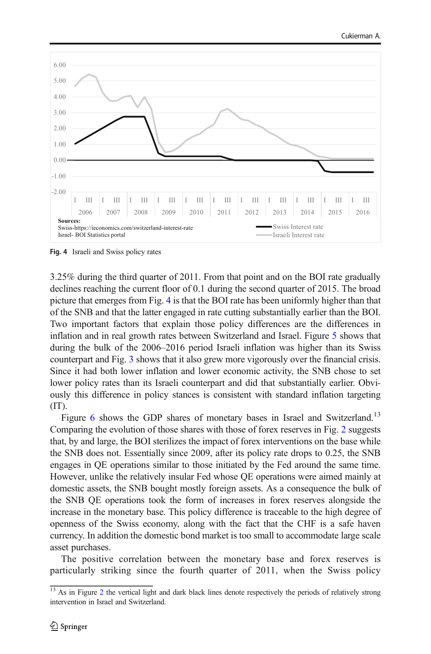<span id="page-7-0"></span>

Fig. 4 Israeli and Swiss policy rates

3.25% during the third quarter of 2011. From that point and on the BOI rate gradually declines reaching the current floor of 0.1 during the second quarter of 2015. The broad picture that emerges from Fig. 4 is that the BOI rate has been uniformly higher than that of the SNB and that the latter engaged in rate cutting substantially earlier than the BOI. Two important factors that explain those policy differences are the differences in inflation and in real growth rates between Switzerland and Israel. Figure [5](#page-8-0) shows that during the bulk of the 2006–2016 period Israeli inflation was higher than its Swiss counterpart and Fig. [3](#page-6-0) shows that it also grew more vigorously over the financial crisis. Since it had both lower inflation and lower economic activity, the SNB chose to set lower policy rates than its Israeli counterpart and did that substantially earlier. Obviously this difference in policy stances is consistent with standard inflation targeting (IT).

Figure [6](#page-9-0) shows the GDP shares of monetary bases in Israel and Switzerland.<sup>13</sup> Comparing the evolution of those shares with those of forex reserves in Fig. [2](#page-5-0) suggests that, by and large, the BOI sterilizes the impact of forex interventions on the base while the SNB does not. Essentially since 2009, after its policy rate drops to 0.25, the SNB engages in QE operations similar to those initiated by the Fed around the same time. However, unlike the relatively insular Fed whose QE operations were aimed mainly at domestic assets, the SNB bought mostly foreign assets. As a consequence the bulk of the SNB QE operations took the form of increases in forex reserves alongside the increase in the monetary base. This policy difference is traceable to the high degree of openness of the Swiss economy, along with the fact that the CHF is a safe haven currency. In addition the domestic bond market is too small to accommodate large scale asset purchases.

The positive correlation between the monetary base and forex reserves is particularly striking since the fourth quarter of 2011, when the Swiss policy

<sup>&</sup>lt;sup>13</sup> As in Figure [2](#page-5-0) the vertical light and dark black lines denote respectively the periods of relatively strong intervention in Israel and Switzerland.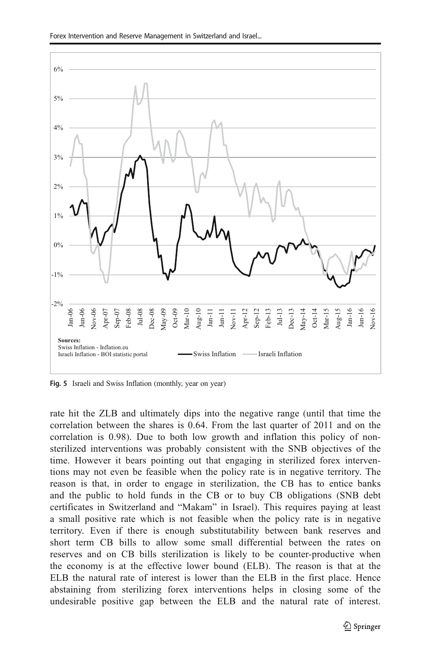<span id="page-8-0"></span>

Fig. 5 Israeli and Swiss Inflation (monthly, year on year)

rate hit the ZLB and ultimately dips into the negative range (until that time the correlation between the shares is 0.64. From the last quarter of 2011 and on the correlation is 0.98). Due to both low growth and inflation this policy of nonsterilized interventions was probably consistent with the SNB objectives of the time. However it bears pointing out that engaging in sterilized forex interventions may not even be feasible when the policy rate is in negative territory. The reason is that, in order to engage in sterilization, the CB has to entice banks and the public to hold funds in the CB or to buy CB obligations (SNB debt certificates in Switzerland and "Makam" in Israel). This requires paying at least a small positive rate which is not feasible when the policy rate is in negative territory. Even if there is enough substitutability between bank reserves and short term CB bills to allow some small differential between the rates on reserves and on CB bills sterilization is likely to be counter-productive when the economy is at the effective lower bound (ELB). The reason is that at the ELB the natural rate of interest is lower than the ELB in the first place. Hence abstaining from sterilizing forex interventions helps in closing some of the undesirable positive gap between the ELB and the natural rate of interest.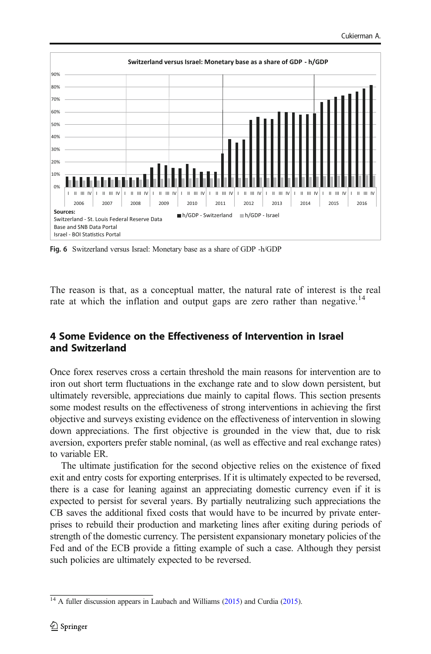<span id="page-9-0"></span>

Fig. 6 Switzerland versus Israel: Monetary base as a share of GDP -h/GDP

The reason is that, as a conceptual matter, the natural rate of interest is the real rate at which the inflation and output gaps are zero rather than negative.<sup>14</sup>

## 4 Some Evidence on the Effectiveness of Intervention in Israel and Switzerland

Once forex reserves cross a certain threshold the main reasons for intervention are to iron out short term fluctuations in the exchange rate and to slow down persistent, but ultimately reversible, appreciations due mainly to capital flows. This section presents some modest results on the effectiveness of strong interventions in achieving the first objective and surveys existing evidence on the effectiveness of intervention in slowing down appreciations. The first objective is grounded in the view that, due to risk aversion, exporters prefer stable nominal, (as well as effective and real exchange rates) to variable ER.

The ultimate justification for the second objective relies on the existence of fixed exit and entry costs for exporting enterprises. If it is ultimately expected to be reversed, there is a case for leaning against an appreciating domestic currency even if it is expected to persist for several years. By partially neutralizing such appreciations the CB saves the additional fixed costs that would have to be incurred by private enterprises to rebuild their production and marketing lines after exiting during periods of strength of the domestic currency. The persistent expansionary monetary policies of the Fed and of the ECB provide a fitting example of such a case. Although they persist such policies are ultimately expected to be reversed.

 $14$  A fuller discussion appears in Laubach and Williams [\(2015\)](#page-21-0) and Curdia ([2015](#page-21-0)).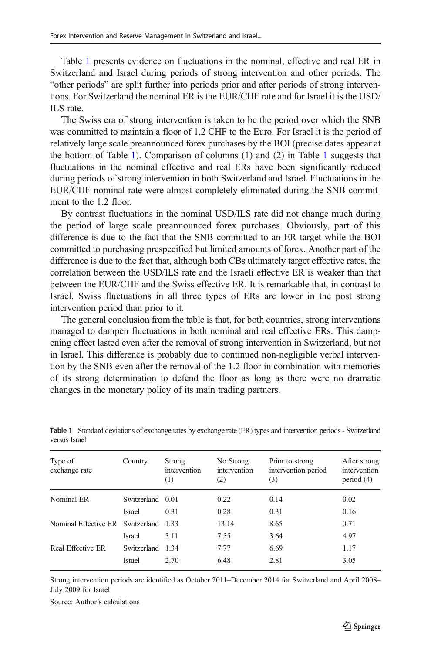Table 1 presents evidence on fluctuations in the nominal, effective and real ER in Switzerland and Israel during periods of strong intervention and other periods. The "other periods" are split further into periods prior and after periods of strong interventions. For Switzerland the nominal ER is the EUR/CHF rate and for Israel it is the USD/ ILS rate.

The Swiss era of strong intervention is taken to be the period over which the SNB was committed to maintain a floor of 1.2 CHF to the Euro. For Israel it is the period of relatively large scale preannounced forex purchases by the BOI (precise dates appear at the bottom of Table 1). Comparison of columns (1) and (2) in Table 1 suggests that fluctuations in the nominal effective and real ERs have been significantly reduced during periods of strong intervention in both Switzerland and Israel. Fluctuations in the EUR/CHF nominal rate were almost completely eliminated during the SNB commitment to the 1.2 floor.

By contrast fluctuations in the nominal USD/ILS rate did not change much during the period of large scale preannounced forex purchases. Obviously, part of this difference is due to the fact that the SNB committed to an ER target while the BOI committed to purchasing prespecified but limited amounts of forex. Another part of the difference is due to the fact that, although both CBs ultimately target effective rates, the correlation between the USD/ILS rate and the Israeli effective ER is weaker than that between the EUR/CHF and the Swiss effective ER. It is remarkable that, in contrast to Israel, Swiss fluctuations in all three types of ERs are lower in the post strong intervention period than prior to it.

The general conclusion from the table is that, for both countries, strong interventions managed to dampen fluctuations in both nominal and real effective ERs. This dampening effect lasted even after the removal of strong intervention in Switzerland, but not in Israel. This difference is probably due to continued non-negligible verbal intervention by the SNB even after the removal of the 1.2 floor in combination with memories of its strong determination to defend the floor as long as there were no dramatic changes in the monetary policy of its main trading partners.

| Type of<br>exchange rate         | Country          | Strong<br>intervention<br>(1) | No Strong<br>intervention<br>(2) | Prior to strong<br>intervention period<br>(3) | After strong<br>intervention<br>period $(4)$ |
|----------------------------------|------------------|-------------------------------|----------------------------------|-----------------------------------------------|----------------------------------------------|
| Nominal ER                       | Switzerland 0.01 |                               | 0.22                             | 0.14                                          | 0.02                                         |
|                                  | Israel           | 0.31                          | 0.28                             | 0.31                                          | 0.16                                         |
| Nominal Effective ER Switzerland |                  | -1.33                         | 13.14                            | 8.65                                          | 0.71                                         |
|                                  | Israel           | 3.11                          | 7.55                             | 3.64                                          | 4.97                                         |
| Real Effective ER                | Switzerland      | 1.34                          | 7.77                             | 6.69                                          | 1.17                                         |
|                                  | Israel           | 2.70                          | 6.48                             | 2.81                                          | 3.05                                         |

Table 1 Standard deviations of exchange rates by exchange rate (ER) types and intervention periods - Switzerland versus Israel

Strong intervention periods are identified as October 2011–December 2014 for Switzerland and April 2008– July 2009 for Israel

Source: Author's calculations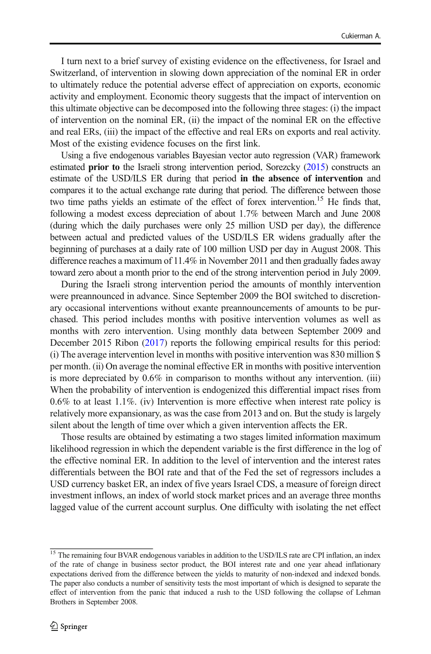I turn next to a brief survey of existing evidence on the effectiveness, for Israel and Switzerland, of intervention in slowing down appreciation of the nominal ER in order to ultimately reduce the potential adverse effect of appreciation on exports, economic activity and employment. Economic theory suggests that the impact of intervention on this ultimate objective can be decomposed into the following three stages: (i) the impact of intervention on the nominal ER, (ii) the impact of the nominal ER on the effective and real ERs, (iii) the impact of the effective and real ERs on exports and real activity. Most of the existing evidence focuses on the first link.

Using a five endogenous variables Bayesian vector auto regression (VAR) framework estimated prior to the Israeli strong intervention period, Sorezcky ([2015\)](#page-21-0) constructs an estimate of the USD/ILS ER during that period in the absence of intervention and compares it to the actual exchange rate during that period. The difference between those two time paths yields an estimate of the effect of forex intervention.<sup>15</sup> He finds that, following a modest excess depreciation of about 1.7% between March and June 2008 (during which the daily purchases were only 25 million USD per day), the difference between actual and predicted values of the USD/ILS ER widens gradually after the beginning of purchases at a daily rate of 100 million USD per day in August 2008. This difference reaches a maximum of 11.4% in November 2011 and then gradually fades away toward zero about a month prior to the end of the strong intervention period in July 2009.

During the Israeli strong intervention period the amounts of monthly intervention were preannounced in advance. Since September 2009 the BOI switched to discretionary occasional interventions without exante preannouncements of amounts to be purchased. This period includes months with positive intervention volumes as well as months with zero intervention. Using monthly data between September 2009 and December 2015 Ribon ([2017](#page-21-0)) reports the following empirical results for this period: (i) The average intervention level in months with positive intervention was 830 million \$ per month. (ii) On average the nominal effective ER in months with positive intervention is more depreciated by 0.6% in comparison to months without any intervention. (iii) When the probability of intervention is endogenized this differential impact rises from  $0.6\%$  to at least  $1.1\%$ . (iv) Intervention is more effective when interest rate policy is relatively more expansionary, as was the case from 2013 and on. But the study is largely silent about the length of time over which a given intervention affects the ER.

Those results are obtained by estimating a two stages limited information maximum likelihood regression in which the dependent variable is the first difference in the log of the effective nominal ER. In addition to the level of intervention and the interest rates differentials between the BOI rate and that of the Fed the set of regressors includes a USD currency basket ER, an index of five years Israel CDS, a measure of foreign direct investment inflows, an index of world stock market prices and an average three months lagged value of the current account surplus. One difficulty with isolating the net effect

<sup>&</sup>lt;sup>15</sup> The remaining four BVAR endogenous variables in addition to the USD/ILS rate are CPI inflation, an index of the rate of change in business sector product, the BOI interest rate and one year ahead inflationary expectations derived from the difference between the yields to maturity of non-indexed and indexed bonds. The paper also conducts a number of sensitivity tests the most important of which is designed to separate the effect of intervention from the panic that induced a rush to the USD following the collapse of Lehman Brothers in September 2008.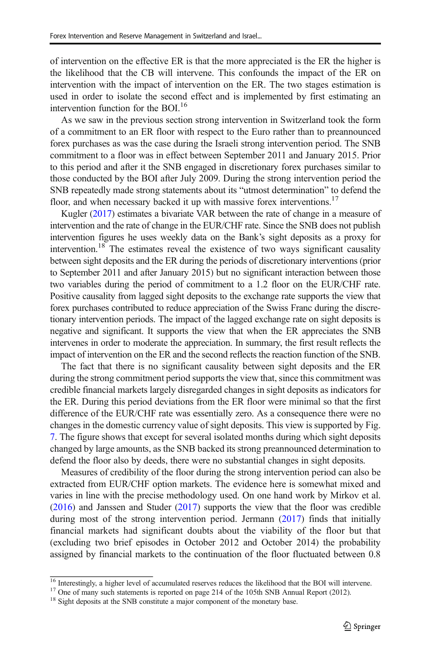of intervention on the effective ER is that the more appreciated is the ER the higher is the likelihood that the CB will intervene. This confounds the impact of the ER on intervention with the impact of intervention on the ER. The two stages estimation is used in order to isolate the second effect and is implemented by first estimating an intervention function for the BOI.16

As we saw in the previous section strong intervention in Switzerland took the form of a commitment to an ER floor with respect to the Euro rather than to preannounced forex purchases as was the case during the Israeli strong intervention period. The SNB commitment to a floor was in effect between September 2011 and January 2015. Prior to this period and after it the SNB engaged in discretionary forex purchases similar to those conducted by the BOI after July 2009. During the strong intervention period the SNB repeatedly made strong statements about its "utmost determination" to defend the floor, and when necessary backed it up with massive forex interventions.<sup>17</sup>

Kugler ([2017\)](#page-21-0) estimates a bivariate VAR between the rate of change in a measure of intervention and the rate of change in the EUR/CHF rate. Since the SNB does not publish intervention figures he uses weekly data on the Bank's sight deposits as a proxy for intervention.<sup>18</sup> The estimates reveal the existence of two ways significant causality between sight deposits and the ER during the periods of discretionary interventions (prior to September 2011 and after January 2015) but no significant interaction between those two variables during the period of commitment to a 1.2 floor on the EUR/CHF rate. Positive causality from lagged sight deposits to the exchange rate supports the view that forex purchases contributed to reduce appreciation of the Swiss Franc during the discretionary intervention periods. The impact of the lagged exchange rate on sight deposits is negative and significant. It supports the view that when the ER appreciates the SNB intervenes in order to moderate the appreciation. In summary, the first result reflects the impact of intervention on the ER and the second reflects the reaction function of the SNB.

The fact that there is no significant causality between sight deposits and the ER during the strong commitment period supports the view that, since this commitment was credible financial markets largely disregarded changes in sight deposits as indicators for the ER. During this period deviations from the ER floor were minimal so that the first difference of the EUR/CHF rate was essentially zero. As a consequence there were no changes in the domestic currency value of sight deposits. This view is supported by Fig. [7.](#page-13-0) The figure shows that except for several isolated months during which sight deposits changed by large amounts, as the SNB backed its strong preannounced determination to defend the floor also by deeds, there were no substantial changes in sight deposits.

Measures of credibility of the floor during the strong intervention period can also be extracted from EUR/CHF option markets. The evidence here is somewhat mixed and varies in line with the precise methodology used. On one hand work by Mirkov et al. [\(2016\)](#page-21-0) and Janssen and Studer [\(2017](#page-21-0)) supports the view that the floor was credible during most of the strong intervention period. Jermann [\(2017](#page-21-0)) finds that initially financial markets had significant doubts about the viability of the floor but that (excluding two brief episodes in October 2012 and October 2014) the probability assigned by financial markets to the continuation of the floor fluctuated between 0.8

 $\frac{16}{16}$  Interestingly, a higher level of accumulated reserves reduces the likelihood that the BOI will intervene.<br><sup>17</sup> One of many such statements is reported on page 214 of the 105th SNB Annual Report (2012).<br><sup>18</sup> Si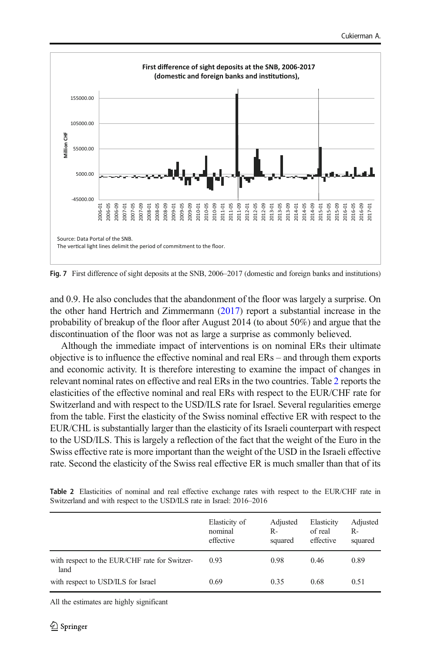<span id="page-13-0"></span>

Fig. 7 First difference of sight deposits at the SNB, 2006–2017 (domestic and foreign banks and institutions)

and 0.9. He also concludes that the abandonment of the floor was largely a surprise. On the other hand Hertrich and Zimmermann [\(2017\)](#page-21-0) report a substantial increase in the probability of breakup of the floor after August 2014 (to about 50%) and argue that the discontinuation of the floor was not as large a surprise as commonly believed.

Although the immediate impact of interventions is on nominal ERs their ultimate objective is to influence the effective nominal and real ERs – and through them exports and economic activity. It is therefore interesting to examine the impact of changes in relevant nominal rates on effective and real ERs in the two countries. Table 2 reports the elasticities of the effective nominal and real ERs with respect to the EUR/CHF rate for Switzerland and with respect to the USD/ILS rate for Israel. Several regularities emerge from the table. First the elasticity of the Swiss nominal effective ER with respect to the EUR/CHL is substantially larger than the elasticity of its Israeli counterpart with respect to the USD/ILS. This is largely a reflection of the fact that the weight of the Euro in the Swiss effective rate is more important than the weight of the USD in the Israeli effective rate. Second the elasticity of the Swiss real effective ER is much smaller than that of its

|  | Table 2 Elasticities of nominal and real effective exchange rates with respect to the EUR/CHF rate in |  |  |  |  |  |  |
|--|-------------------------------------------------------------------------------------------------------|--|--|--|--|--|--|
|  | Switzerland and with respect to the USD/ILS rate in Israel: 2016–2016                                 |  |  |  |  |  |  |

|                                                       | Elasticity of<br>nominal<br>effective | Adjusted<br>$R -$<br>squared | Elasticity<br>of real<br>effective | Adjusted<br>$R-$<br>squared |
|-------------------------------------------------------|---------------------------------------|------------------------------|------------------------------------|-----------------------------|
| with respect to the EUR/CHF rate for Switzer-<br>land | 0.93                                  | 0.98                         | 0.46                               | 0.89                        |
| with respect to USD/ILS for Israel                    | 0.69                                  | 0.35                         | 0.68                               | 0.51                        |

All the estimates are highly significant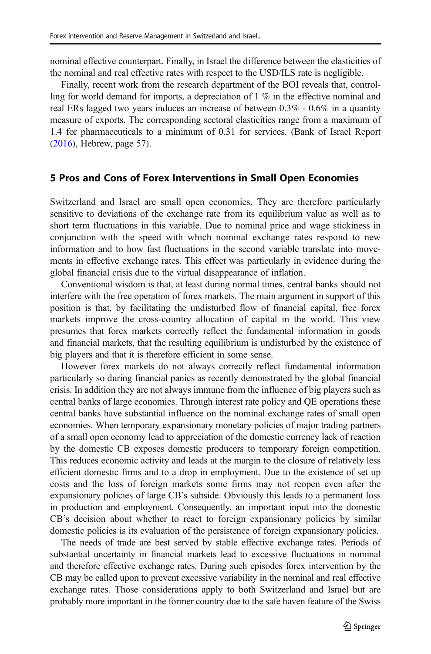nominal effective counterpart. Finally, in Israel the difference between the elasticities of the nominal and real effective rates with respect to the USD/ILS rate is negligible.

Finally, recent work from the research department of the BOI reveals that, controlling for world demand for imports, a depreciation of 1 % in the effective nominal and real ERs lagged two years induces an increase of between 0.3% - 0.6% in a quantity measure of exports. The corresponding sectoral elasticities range from a maximum of 1.4 for pharmaceuticals to a minimum of 0.31 for services. (Bank of Israel Report [\(2016\)](#page-21-0), Hebrew, page 57).

#### 5 Pros and Cons of Forex Interventions in Small Open Economies

Switzerland and Israel are small open economies. They are therefore particularly sensitive to deviations of the exchange rate from its equilibrium value as well as to short term fluctuations in this variable. Due to nominal price and wage stickiness in conjunction with the speed with which nominal exchange rates respond to new information and to how fast fluctuations in the second variable translate into movements in effective exchange rates. This effect was particularly in evidence during the global financial crisis due to the virtual disappearance of inflation.

Conventional wisdom is that, at least during normal times, central banks should not interfere with the free operation of forex markets. The main argument in support of this position is that, by facilitating the undisturbed flow of financial capital, free forex markets improve the cross-country allocation of capital in the world. This view presumes that forex markets correctly reflect the fundamental information in goods and financial markets, that the resulting equilibrium is undisturbed by the existence of big players and that it is therefore efficient in some sense.

However forex markets do not always correctly reflect fundamental information particularly so during financial panics as recently demonstrated by the global financial crisis. In addition they are not always immune from the influence of big players such as central banks of large economies. Through interest rate policy and QE operations these central banks have substantial influence on the nominal exchange rates of small open economies. When temporary expansionary monetary policies of major trading partners of a small open economy lead to appreciation of the domestic currency lack of reaction by the domestic CB exposes domestic producers to temporary foreign competition. This reduces economic activity and leads at the margin to the closure of relatively less efficient domestic firms and to a drop in employment. Due to the existence of set up costs and the loss of foreign markets some firms may not reopen even after the expansionary policies of large CB's subside. Obviously this leads to a permanent loss in production and employment. Consequently, an important input into the domestic CB's decision about whether to react to foreign expansionary policies by similar domestic policies is its evaluation of the persistence of foreign expansionary policies.

The needs of trade are best served by stable effective exchange rates. Periods of substantial uncertainty in financial markets lead to excessive fluctuations in nominal and therefore effective exchange rates. During such episodes forex intervention by the CB may be called upon to prevent excessive variability in the nominal and real effective exchange rates. Those considerations apply to both Switzerland and Israel but are probably more important in the former country due to the safe haven feature of the Swiss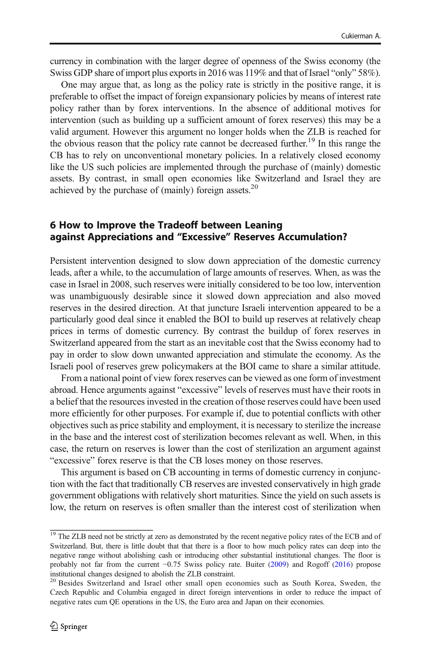currency in combination with the larger degree of openness of the Swiss economy (the Swiss GDP share of import plus exports in 2016 was 119% and that of Israel "only" 58%).

One may argue that, as long as the policy rate is strictly in the positive range, it is preferable to offset the impact of foreign expansionary policies by means of interest rate policy rather than by forex interventions. In the absence of additional motives for intervention (such as building up a sufficient amount of forex reserves) this may be a valid argument. However this argument no longer holds when the ZLB is reached for the obvious reason that the policy rate cannot be decreased further.<sup>19</sup> In this range the CB has to rely on unconventional monetary policies. In a relatively closed economy like the US such policies are implemented through the purchase of (mainly) domestic assets. By contrast, in small open economies like Switzerland and Israel they are achieved by the purchase of (mainly) foreign assets. $20$ 

### 6 How to Improve the Tradeoff between Leaning against Appreciations and "Excessive" Reserves Accumulation?

Persistent intervention designed to slow down appreciation of the domestic currency leads, after a while, to the accumulation of large amounts of reserves. When, as was the case in Israel in 2008, such reserves were initially considered to be too low, intervention was unambiguously desirable since it slowed down appreciation and also moved reserves in the desired direction. At that juncture Israeli intervention appeared to be a particularly good deal since it enabled the BOI to build up reserves at relatively cheap prices in terms of domestic currency. By contrast the buildup of forex reserves in Switzerland appeared from the start as an inevitable cost that the Swiss economy had to pay in order to slow down unwanted appreciation and stimulate the economy. As the Israeli pool of reserves grew policymakers at the BOI came to share a similar attitude.

From a national point of view forex reserves can be viewed as one form of investment abroad. Hence arguments against "excessive" levels of reserves must have their roots in a belief that the resources invested in the creation of those reserves could have been used more efficiently for other purposes. For example if, due to potential conflicts with other objectives such as price stability and employment, it is necessary to sterilize the increase in the base and the interest cost of sterilization becomes relevant as well. When, in this case, the return on reserves is lower than the cost of sterilization an argument against "excessive" forex reserve is that the CB loses money on those reserves.

This argument is based on CB accounting in terms of domestic currency in conjunction with the fact that traditionally CB reserves are invested conservatively in high grade government obligations with relatively short maturities. Since the yield on such assets is low, the return on reserves is often smaller than the interest cost of sterilization when

<sup>&</sup>lt;sup>19</sup> The ZLB need not be strictly at zero as demonstrated by the recent negative policy rates of the ECB and of Switzerland. But, there is little doubt that that there is a floor to how much policy rates can deep into the negative range without abolishing cash or introducing other substantial institutional changes. The floor is probably not far from the current −0.75 Swiss policy rate. Buiter [\(2009\)](#page-21-0) and Rogoff [\(2016](#page-21-0)) propose institutional changes designed to abolish the ZLB constraint.

<sup>&</sup>lt;sup>20</sup> Besides Switzerland and Israel other small open economies such as South Korea, Sweden, the Czech Republic and Columbia engaged in direct foreign interventions in order to reduce the impact of negative rates cum QE operations in the US, the Euro area and Japan on their economies.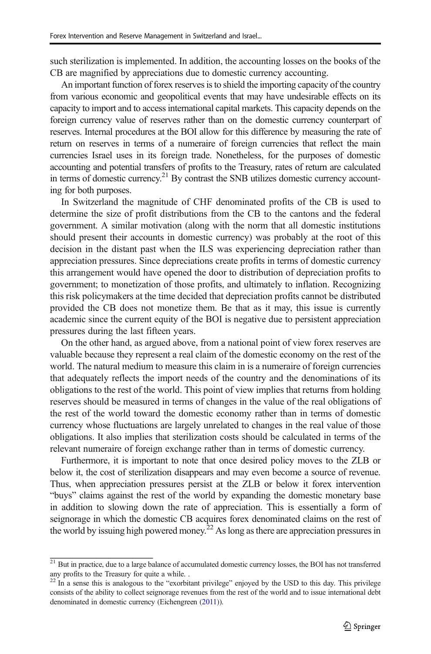such sterilization is implemented. In addition, the accounting losses on the books of the CB are magnified by appreciations due to domestic currency accounting.

An important function of forex reserves is to shield the importing capacity of the country from various economic and geopolitical events that may have undesirable effects on its capacity to import and to access international capital markets. This capacity depends on the foreign currency value of reserves rather than on the domestic currency counterpart of reserves. Internal procedures at the BOI allow for this difference by measuring the rate of return on reserves in terms of a numeraire of foreign currencies that reflect the main currencies Israel uses in its foreign trade. Nonetheless, for the purposes of domestic accounting and potential transfers of profits to the Treasury, rates of return are calculated in terms of domestic currency.<sup>21</sup> By contrast the SNB utilizes domestic currency accounting for both purposes.

In Switzerland the magnitude of CHF denominated profits of the CB is used to determine the size of profit distributions from the CB to the cantons and the federal government. A similar motivation (along with the norm that all domestic institutions should present their accounts in domestic currency) was probably at the root of this decision in the distant past when the ILS was experiencing depreciation rather than appreciation pressures. Since depreciations create profits in terms of domestic currency this arrangement would have opened the door to distribution of depreciation profits to government; to monetization of those profits, and ultimately to inflation. Recognizing this risk policymakers at the time decided that depreciation profits cannot be distributed provided the CB does not monetize them. Be that as it may, this issue is currently academic since the current equity of the BOI is negative due to persistent appreciation pressures during the last fifteen years.

On the other hand, as argued above, from a national point of view forex reserves are valuable because they represent a real claim of the domestic economy on the rest of the world. The natural medium to measure this claim in is a numeraire of foreign currencies that adequately reflects the import needs of the country and the denominations of its obligations to the rest of the world. This point of view implies that returns from holding reserves should be measured in terms of changes in the value of the real obligations of the rest of the world toward the domestic economy rather than in terms of domestic currency whose fluctuations are largely unrelated to changes in the real value of those obligations. It also implies that sterilization costs should be calculated in terms of the relevant numeraire of foreign exchange rather than in terms of domestic currency.

Furthermore, it is important to note that once desired policy moves to the ZLB or below it, the cost of sterilization disappears and may even become a source of revenue. Thus, when appreciation pressures persist at the ZLB or below it forex intervention "buys" claims against the rest of the world by expanding the domestic monetary base in addition to slowing down the rate of appreciation. This is essentially a form of seignorage in which the domestic CB acquires forex denominated claims on the rest of the world by issuing high powered money.<sup>22</sup> As long as there are appreciation pressures in

 $21$  But in practice, due to a large balance of accumulated domestic currency losses, the BOI has not transferred

any profits to the Treasury for quite a while. .<br><sup>22</sup> In a sense this is analogous to the "exorbitant privilege" enjoyed by the USD to this day. This privilege consists of the ability to collect seignorage revenues from the rest of the world and to issue international debt denominated in domestic currency (Eichengreen [\(2011](#page-21-0))).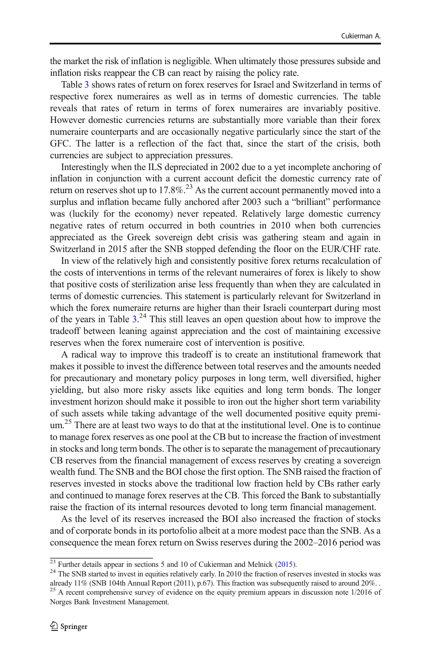the market the risk of inflation is negligible. When ultimately those pressures subside and inflation risks reappear the CB can react by raising the policy rate.

Table [3](#page-18-0) shows rates of return on forex reserves for Israel and Switzerland in terms of respective forex numeraires as well as in terms of domestic currencies. The table reveals that rates of return in terms of forex numeraires are invariably positive. However domestic currencies returns are substantially more variable than their forex numeraire counterparts and are occasionally negative particularly since the start of the GFC. The latter is a reflection of the fact that, since the start of the crisis, both currencies are subject to appreciation pressures.

Interestingly when the ILS depreciated in 2002 due to a yet incomplete anchoring of inflation in conjunction with a current account deficit the domestic currency rate of return on reserves shot up to  $17.8\%$ <sup>23</sup> As the current account permanently moved into a surplus and inflation became fully anchored after 2003 such a "brilliant" performance was (luckily for the economy) never repeated. Relatively large domestic currency negative rates of return occurred in both countries in 2010 when both currencies appreciated as the Greek sovereign debt crisis was gathering steam and again in Switzerland in 2015 after the SNB stopped defending the floor on the EUR/CHF rate.

In view of the relatively high and consistently positive forex returns recalculation of the costs of interventions in terms of the relevant numeraires of forex is likely to show that positive costs of sterilization arise less frequently than when they are calculated in terms of domestic currencies. This statement is particularly relevant for Switzerland in which the forex numeraire returns are higher than their Israeli counterpart during most of the years in Table [3.](#page-18-0)<sup>24</sup> This still leaves an open question about how to improve the tradeoff between leaning against appreciation and the cost of maintaining excessive reserves when the forex numeraire cost of intervention is positive.

A radical way to improve this tradeoff is to create an institutional framework that makes it possible to invest the difference between total reserves and the amounts needed for precautionary and monetary policy purposes in long term, well diversified, higher yielding, but also more risky assets like equities and long term bonds. The longer investment horizon should make it possible to iron out the higher short term variability of such assets while taking advantage of the well documented positive equity premi $um<sup>25</sup>$  There are at least two ways to do that at the institutional level. One is to continue to manage forex reserves as one pool at the CB but to increase the fraction of investment in stocks and long term bonds. The other is to separate the management of precautionary CB reserves from the financial management of excess reserves by creating a sovereign wealth fund. The SNB and the BOI chose the first option. The SNB raised the fraction of reserves invested in stocks above the traditional low fraction held by CBs rather early and continued to manage forex reserves at the CB. This forced the Bank to substantially raise the fraction of its internal resources devoted to long term financial management.

As the level of its reserves increased the BOI also increased the fraction of stocks and of corporate bonds in its portofolio albeit at a more modest pace than the SNB. As a consequence the mean forex return on Swiss reserves during the 2002–2016 period was

 $^{23}$  Further details appear in sections 5 and 10 of Cukierman and Melnick [\(2015\)](#page-21-0).<br><sup>24</sup> The SNB started to invest in equities relatively early. In 2010 the fraction of reserves invested in stocks was already 11% (SNB 104th Annual Report (2011), p.67). This fraction was subsequently raised to around 20%. . <sup>25</sup> A recent comprehensive survey of evidence on the equity premium appears in discussion note 1/2016 of Norges Bank Investment Management.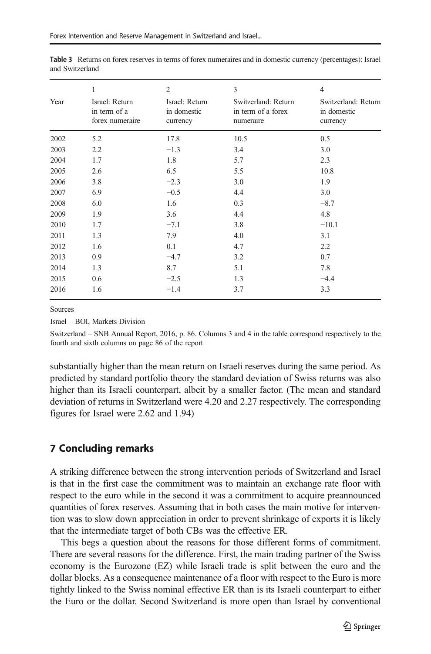| Year | 1<br>Israel: Return<br>in term of a<br>forex numeraire | $\overline{2}$<br>Israel: Return<br>in domestic<br>currency | 3<br>Switzerland: Return<br>in term of a forex<br>numeraire | $\overline{4}$<br>Switzerland: Return<br>in domestic<br>currency |
|------|--------------------------------------------------------|-------------------------------------------------------------|-------------------------------------------------------------|------------------------------------------------------------------|
| 2002 | 5.2                                                    | 17.8                                                        | 10.5                                                        | 0.5                                                              |
| 2003 | 2.2                                                    | $-1.3$                                                      | 3.4                                                         | 3.0                                                              |
| 2004 | 1.7                                                    | 1.8                                                         | 5.7                                                         | 2.3                                                              |
| 2005 | 2.6                                                    | 6.5                                                         | 5.5                                                         | 10.8                                                             |
| 2006 | 3.8                                                    | $-2.3$                                                      | 3.0                                                         | 1.9                                                              |
| 2007 | 6.9                                                    | $-0.5$                                                      | 4.4                                                         | 3.0                                                              |
| 2008 | 6.0                                                    | 1.6                                                         | 0.3                                                         | $-8.7$                                                           |
| 2009 | 1.9                                                    | 3.6                                                         | 4.4                                                         | 4.8                                                              |
| 2010 | 1.7                                                    | $-7.1$                                                      | 3.8                                                         | $-10.1$                                                          |
| 2011 | 1.3                                                    | 7.9                                                         | 4.0                                                         | 3.1                                                              |
| 2012 | 1.6                                                    | 0.1                                                         | 4.7                                                         | 2.2                                                              |
| 2013 | 0.9                                                    | $-4.7$                                                      | 3.2                                                         | 0.7                                                              |
| 2014 | 1.3                                                    | 8.7                                                         | 5.1                                                         | 7.8                                                              |
| 2015 | 0.6                                                    | $-2.5$                                                      | 1.3                                                         | $-4.4$                                                           |
| 2016 | 1.6                                                    | $-1.4$                                                      | 3.7                                                         | 3.3                                                              |

<span id="page-18-0"></span>Table 3 Returns on forex reserves in terms of forex numeraires and in domestic currency (percentages): Israel and Switzerland

#### Sources

Israel – BOI, Markets Division

Switzerland – SNB Annual Report, 2016, p. 86. Columns 3 and 4 in the table correspond respectively to the fourth and sixth columns on page 86 of the report

substantially higher than the mean return on Israeli reserves during the same period. As predicted by standard portfolio theory the standard deviation of Swiss returns was also higher than its Israeli counterpart, albeit by a smaller factor. (The mean and standard deviation of returns in Switzerland were 4.20 and 2.27 respectively. The corresponding figures for Israel were 2.62 and 1.94)

### 7 Concluding remarks

A striking difference between the strong intervention periods of Switzerland and Israel is that in the first case the commitment was to maintain an exchange rate floor with respect to the euro while in the second it was a commitment to acquire preannounced quantities of forex reserves. Assuming that in both cases the main motive for intervention was to slow down appreciation in order to prevent shrinkage of exports it is likely that the intermediate target of both CBs was the effective ER.

This begs a question about the reasons for those different forms of commitment. There are several reasons for the difference. First, the main trading partner of the Swiss economy is the Eurozone (EZ) while Israeli trade is split between the euro and the dollar blocks. As a consequence maintenance of a floor with respect to the Euro is more tightly linked to the Swiss nominal effective ER than is its Israeli counterpart to either the Euro or the dollar. Second Switzerland is more open than Israel by conventional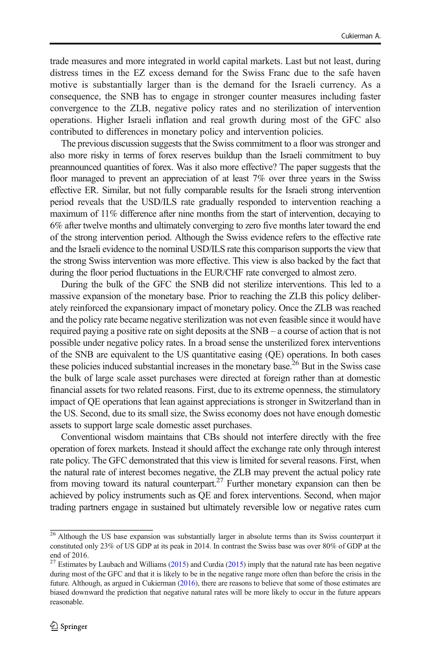trade measures and more integrated in world capital markets. Last but not least, during distress times in the EZ excess demand for the Swiss Franc due to the safe haven motive is substantially larger than is the demand for the Israeli currency. As a consequence, the SNB has to engage in stronger counter measures including faster convergence to the ZLB, negative policy rates and no sterilization of intervention operations. Higher Israeli inflation and real growth during most of the GFC also contributed to differences in monetary policy and intervention policies.

The previous discussion suggests that the Swiss commitment to a floor was stronger and also more risky in terms of forex reserves buildup than the Israeli commitment to buy preannounced quantities of forex. Was it also more effective? The paper suggests that the floor managed to prevent an appreciation of at least 7% over three years in the Swiss effective ER. Similar, but not fully comparable results for the Israeli strong intervention period reveals that the USD/ILS rate gradually responded to intervention reaching a maximum of 11% difference after nine months from the start of intervention, decaying to 6% after twelve months and ultimately converging to zero five months later toward the end of the strong intervention period. Although the Swiss evidence refers to the effective rate and the Israeli evidence to the nominal USD/ILS rate this comparison supports the view that the strong Swiss intervention was more effective. This view is also backed by the fact that during the floor period fluctuations in the EUR/CHF rate converged to almost zero.

During the bulk of the GFC the SNB did not sterilize interventions. This led to a massive expansion of the monetary base. Prior to reaching the ZLB this policy deliberately reinforced the expansionary impact of monetary policy. Once the ZLB was reached and the policy rate became negative sterilization was not even feasible since it would have required paying a positive rate on sight deposits at the SNB – a course of action that is not possible under negative policy rates. In a broad sense the unsterilized forex interventions of the SNB are equivalent to the US quantitative easing (QE) operations. In both cases these policies induced substantial increases in the monetary base.<sup>26</sup> But in the Swiss case the bulk of large scale asset purchases were directed at foreign rather than at domestic financial assets for two related reasons. First, due to its extreme openness, the stimulatory impact of QE operations that lean against appreciations is stronger in Switzerland than in the US. Second, due to its small size, the Swiss economy does not have enough domestic assets to support large scale domestic asset purchases.

Conventional wisdom maintains that CBs should not interfere directly with the free operation of forex markets. Instead it should affect the exchange rate only through interest rate policy. The GFC demonstrated that this view is limited for several reasons. First, when the natural rate of interest becomes negative, the ZLB may prevent the actual policy rate from moving toward its natural counterpart. $27$  Further monetary expansion can then be achieved by policy instruments such as QE and forex interventions. Second, when major trading partners engage in sustained but ultimately reversible low or negative rates cum

 $\frac{26}{10}$  Although the US base expansion was substantially larger in absolute terms than its Swiss counterpart it constituted only 23% of US GDP at its peak in 2014. In contrast the Swiss base was over 80% of GDP at the end of 2016.

 $27$  Estimates by Laubach and Williams [\(2015\)](#page-21-0) and Curdia ([2015](#page-21-0)) imply that the natural rate has been negative during most of the GFC and that it is likely to be in the negative range more often than before the crisis in the future. Although, as argued in Cukierman ([2016](#page-21-0)), there are reasons to believe that some of those estimates are biased downward the prediction that negative natural rates will be more likely to occur in the future appears reasonable.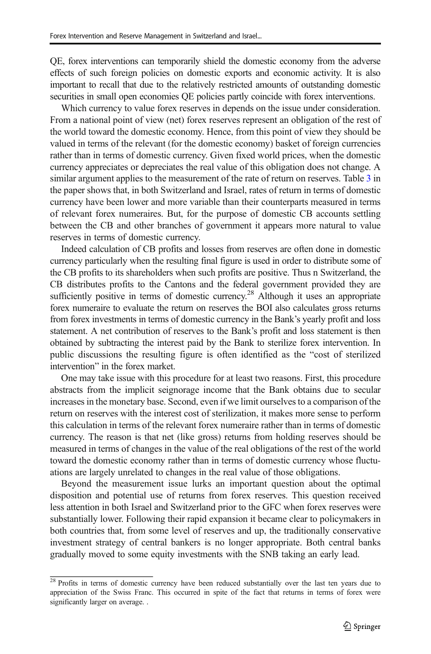QE, forex interventions can temporarily shield the domestic economy from the adverse effects of such foreign policies on domestic exports and economic activity. It is also important to recall that due to the relatively restricted amounts of outstanding domestic securities in small open economies QE policies partly coincide with forex interventions.

Which currency to value forex reserves in depends on the issue under consideration. From a national point of view (net) forex reserves represent an obligation of the rest of the world toward the domestic economy. Hence, from this point of view they should be valued in terms of the relevant (for the domestic economy) basket of foreign currencies rather than in terms of domestic currency. Given fixed world prices, when the domestic currency appreciates or depreciates the real value of this obligation does not change. A similar argument applies to the measurement of the rate of return on reserves. Table [3](#page-18-0) in the paper shows that, in both Switzerland and Israel, rates of return in terms of domestic currency have been lower and more variable than their counterparts measured in terms of relevant forex numeraires. But, for the purpose of domestic CB accounts settling between the CB and other branches of government it appears more natural to value reserves in terms of domestic currency.

Indeed calculation of CB profits and losses from reserves are often done in domestic currency particularly when the resulting final figure is used in order to distribute some of the CB profits to its shareholders when such profits are positive. Thus n Switzerland, the CB distributes profits to the Cantons and the federal government provided they are sufficiently positive in terms of domestic currency.<sup>28</sup> Although it uses an appropriate forex numeraire to evaluate the return on reserves the BOI also calculates gross returns from forex investments in terms of domestic currency in the Bank's yearly profit and loss statement. A net contribution of reserves to the Bank's profit and loss statement is then obtained by subtracting the interest paid by the Bank to sterilize forex intervention. In public discussions the resulting figure is often identified as the "cost of sterilized intervention" in the forex market.

One may take issue with this procedure for at least two reasons. First, this procedure abstracts from the implicit seignorage income that the Bank obtains due to secular increases in the monetary base. Second, even if we limit ourselves to a comparison of the return on reserves with the interest cost of sterilization, it makes more sense to perform this calculation in terms of the relevant forex numeraire rather than in terms of domestic currency. The reason is that net (like gross) returns from holding reserves should be measured in terms of changes in the value of the real obligations of the rest of the world toward the domestic economy rather than in terms of domestic currency whose fluctuations are largely unrelated to changes in the real value of those obligations.

Beyond the measurement issue lurks an important question about the optimal disposition and potential use of returns from forex reserves. This question received less attention in both Israel and Switzerland prior to the GFC when forex reserves were substantially lower. Following their rapid expansion it became clear to policymakers in both countries that, from some level of reserves and up, the traditionally conservative investment strategy of central bankers is no longer appropriate. Both central banks gradually moved to some equity investments with the SNB taking an early lead.

 $\frac{28}{28}$  Profits in terms of domestic currency have been reduced substantially over the last ten years due to appreciation of the Swiss Franc. This occurred in spite of the fact that returns in terms of forex were significantly larger on average. .